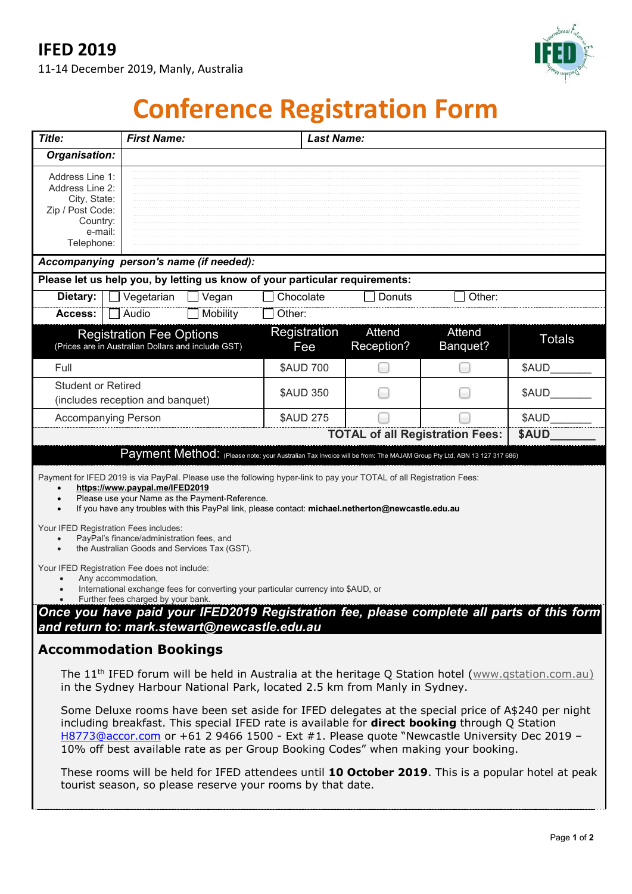# **IFED 2019**

11-14 December 2019, Manly, Australia



# **Conference Registration Form**

| Title:                                                                                                                                                                                                                                                                                                                                                                                                                                                                                                                                                                                                                                                 |                                                                                       | <b>First Name:</b><br><b>Last Name:</b> |                                                                                                                                                                                                                                                                                                                                                                                              |                      |                                        |                                                                                           |
|--------------------------------------------------------------------------------------------------------------------------------------------------------------------------------------------------------------------------------------------------------------------------------------------------------------------------------------------------------------------------------------------------------------------------------------------------------------------------------------------------------------------------------------------------------------------------------------------------------------------------------------------------------|---------------------------------------------------------------------------------------|-----------------------------------------|----------------------------------------------------------------------------------------------------------------------------------------------------------------------------------------------------------------------------------------------------------------------------------------------------------------------------------------------------------------------------------------------|----------------------|----------------------------------------|-------------------------------------------------------------------------------------------|
| Organisation:                                                                                                                                                                                                                                                                                                                                                                                                                                                                                                                                                                                                                                          |                                                                                       |                                         |                                                                                                                                                                                                                                                                                                                                                                                              |                      |                                        |                                                                                           |
| Address Line 1:<br>Address Line 2:<br>City, State:<br>Zip / Post Code:<br>Country:<br>e-mail:<br>Telephone:                                                                                                                                                                                                                                                                                                                                                                                                                                                                                                                                            |                                                                                       |                                         |                                                                                                                                                                                                                                                                                                                                                                                              |                      |                                        |                                                                                           |
| Accompanying person's name (if needed):                                                                                                                                                                                                                                                                                                                                                                                                                                                                                                                                                                                                                |                                                                                       |                                         |                                                                                                                                                                                                                                                                                                                                                                                              |                      |                                        |                                                                                           |
| Please let us help you, by letting us know of your particular requirements:                                                                                                                                                                                                                                                                                                                                                                                                                                                                                                                                                                            |                                                                                       |                                         |                                                                                                                                                                                                                                                                                                                                                                                              |                      |                                        |                                                                                           |
| Dietary:                                                                                                                                                                                                                                                                                                                                                                                                                                                                                                                                                                                                                                               | Vegetarian                                                                            | Vegan                                   | Chocolate                                                                                                                                                                                                                                                                                                                                                                                    | Donuts               | Other:                                 |                                                                                           |
| Access:                                                                                                                                                                                                                                                                                                                                                                                                                                                                                                                                                                                                                                                | Audio                                                                                 | Mobility                                | Other:                                                                                                                                                                                                                                                                                                                                                                                       |                      |                                        |                                                                                           |
|                                                                                                                                                                                                                                                                                                                                                                                                                                                                                                                                                                                                                                                        | <b>Registration Fee Options</b><br>(Prices are in Australian Dollars and include GST) |                                         | Registration<br>Fee                                                                                                                                                                                                                                                                                                                                                                          | Attend<br>Reception? | Attend<br>Banquet?                     | <b>Totals</b>                                                                             |
| Full                                                                                                                                                                                                                                                                                                                                                                                                                                                                                                                                                                                                                                                   |                                                                                       |                                         | <b>\$AUD 700</b>                                                                                                                                                                                                                                                                                                                                                                             |                      |                                        | \$AUD                                                                                     |
| <b>Student or Retired</b><br>(includes reception and banquet)                                                                                                                                                                                                                                                                                                                                                                                                                                                                                                                                                                                          |                                                                                       |                                         | <b>\$AUD 350</b>                                                                                                                                                                                                                                                                                                                                                                             |                      |                                        | \$AUD                                                                                     |
| <b>Accompanying Person</b>                                                                                                                                                                                                                                                                                                                                                                                                                                                                                                                                                                                                                             |                                                                                       |                                         | <b>\$AUD 275</b>                                                                                                                                                                                                                                                                                                                                                                             |                      |                                        | \$AUD                                                                                     |
|                                                                                                                                                                                                                                                                                                                                                                                                                                                                                                                                                                                                                                                        |                                                                                       |                                         |                                                                                                                                                                                                                                                                                                                                                                                              |                      | <b>TOTAL of all Registration Fees:</b> | \$AUD                                                                                     |
| Payment Method: (Please note: your Australian Tax Invoice will be from: The MAJAM Group Pty Ltd, ABN 13 127 317 686)                                                                                                                                                                                                                                                                                                                                                                                                                                                                                                                                   |                                                                                       |                                         |                                                                                                                                                                                                                                                                                                                                                                                              |                      |                                        |                                                                                           |
| Payment for IFED 2019 is via PayPal. Please use the following hyper-link to pay your TOTAL of all Registration Fees:<br>https://www.paypal.me/IFED2019<br>Please use your Name as the Payment-Reference.<br>If you have any troubles with this PayPal link, please contact: michael.netherton@newcastle.edu.au<br>Your IFED Registration Fees includes:<br>PayPal's finance/administration fees, and<br>the Australian Goods and Services Tax (GST).<br>Your IFED Registration Fee does not include:<br>Any accommodation,<br>International exchange fees for converting your particular currency into \$AUD, or<br>Further fees charged by your bank. |                                                                                       |                                         |                                                                                                                                                                                                                                                                                                                                                                                              |                      |                                        |                                                                                           |
| and return to: mark.stewart@newcastle.edu.au                                                                                                                                                                                                                                                                                                                                                                                                                                                                                                                                                                                                           |                                                                                       |                                         |                                                                                                                                                                                                                                                                                                                                                                                              |                      |                                        | Once you have paid your IFED2019 Registration fee, please complete all parts of this form |
| <b>Accommodation Bookings</b>                                                                                                                                                                                                                                                                                                                                                                                                                                                                                                                                                                                                                          |                                                                                       |                                         |                                                                                                                                                                                                                                                                                                                                                                                              |                      |                                        |                                                                                           |
|                                                                                                                                                                                                                                                                                                                                                                                                                                                                                                                                                                                                                                                        |                                                                                       |                                         | The 11 <sup>th</sup> IFED forum will be held in Australia at the heritage Q Station hotel (www.gstation.com.au)<br>in the Sydney Harbour National Park, located 2.5 km from Manly in Sydney.                                                                                                                                                                                                 |                      |                                        |                                                                                           |
|                                                                                                                                                                                                                                                                                                                                                                                                                                                                                                                                                                                                                                                        |                                                                                       |                                         | Some Deluxe rooms have been set aside for IFED delegates at the special price of A\$240 per night<br>including breakfast. This special IFED rate is available for <b>direct booking</b> through Q Station<br>H8773@accor.com or +61 2 9466 1500 - Ext #1. Please quote "Newcastle University Dec 2019 -<br>10% off best available rate as per Group Booking Codes" when making your booking. |                      |                                        |                                                                                           |
| These rooms will be held for IFED attendees until 10 October 2019. This is a popular hotel at peak                                                                                                                                                                                                                                                                                                                                                                                                                                                                                                                                                     |                                                                                       |                                         |                                                                                                                                                                                                                                                                                                                                                                                              |                      |                                        |                                                                                           |

tourist season, so please reserve your rooms by that date.